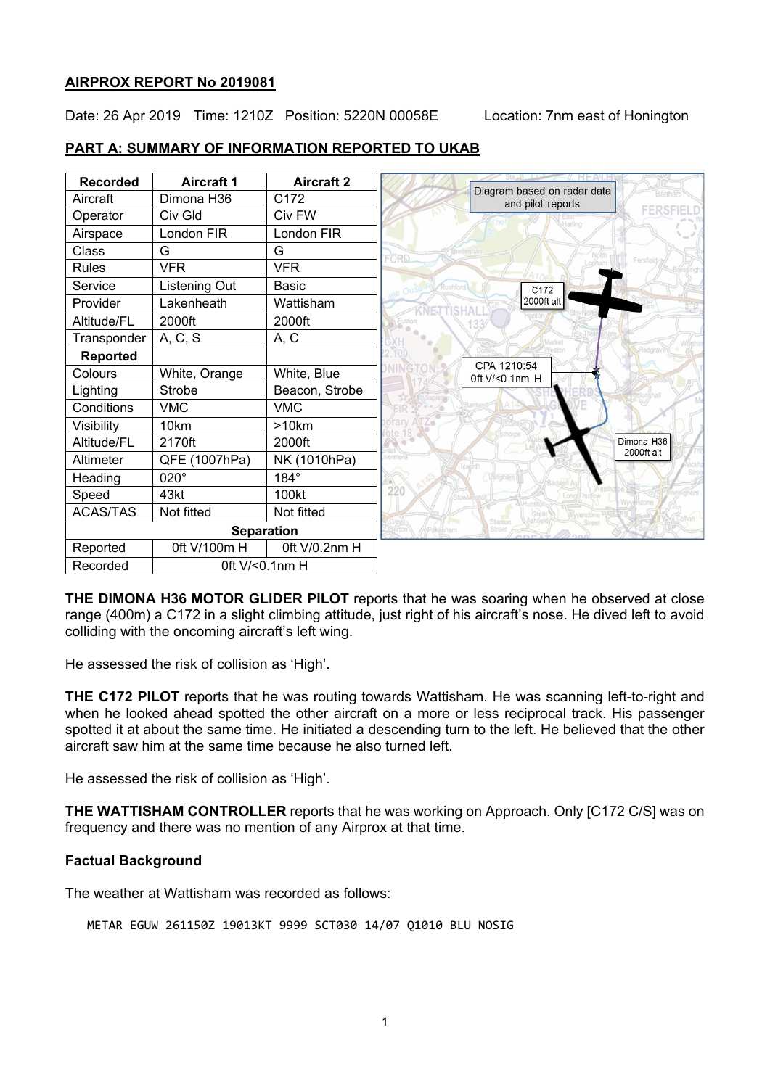#### **AIRPROX REPORT No 2019081**

Date: 26 Apr 2019 Time: 1210Z Position: 5220N 00058E Location: 7nm east of Honington

# **PART A: SUMMARY OF INFORMATION REPORTED TO UKAB**

| <b>Recorded</b>   | <b>Aircraft 1</b> | <b>Aircraft 2</b> | Diagram based on radar data   |
|-------------------|-------------------|-------------------|-------------------------------|
| Aircraft          | Dimona H36        | C172              | Banhar<br>and pilot reports   |
| Operator          | Civ Gld           | Civ FW            | <b>FERSFIE</b>                |
| Airspace          | London FIR        | London FIR        |                               |
| Class             | G                 | G                 | FORD                          |
| <b>Rules</b>      | <b>VFR</b>        | <b>VFR</b>        | Fersfield                     |
| Service           | Listening Out     | <b>Basic</b>      | Rushford<br>C172              |
| Provider          | Lakenheath        | Wattisham         | 2000ft alt                    |
| Altitude/FL       | 2000ft            | 2000ft            |                               |
| Transponder       | A, C, S           | A, C              |                               |
| <b>Reported</b>   |                   |                   |                               |
| Colours           | White, Orange     | White, Blue       | CPA 1210:54<br>0ft V/<0.1nm H |
| Lighting          | <b>Strobe</b>     | Beacon, Strobe    |                               |
| Conditions        | <b>VMC</b>        | <b>VMC</b>        |                               |
| Visibility        | 10km              | >10km             | <b>Jothorne</b>               |
| Altitude/FL       | 2170ft            | 2000ft            | Dimona H36<br>2000ft alt      |
| Altimeter         | QFE (1007hPa)     | NK (1010hPa)      |                               |
| Heading           | 020°              | 184°              | Langham                       |
| Speed             | 43kt              | 100kt             | 220                           |
| <b>ACAS/TAS</b>   | Not fitted        | Not fitted        | Wyverstone<br>Stanton         |
| <b>Separation</b> |                   |                   | Street<br>Pakéhham            |
| Reported          | 0ft V/100m H      | Oft V/0.2nm H     |                               |
| Recorded          |                   | 0ft V/<0.1nm H    |                               |

**THE DIMONA H36 MOTOR GLIDER PILOT** reports that he was soaring when he observed at close range (400m) a C172 in a slight climbing attitude, just right of his aircraft's nose. He dived left to avoid colliding with the oncoming aircraft's left wing.

He assessed the risk of collision as 'High'.

**THE C172 PILOT** reports that he was routing towards Wattisham. He was scanning left-to-right and when he looked ahead spotted the other aircraft on a more or less reciprocal track. His passenger spotted it at about the same time. He initiated a descending turn to the left. He believed that the other aircraft saw him at the same time because he also turned left.

He assessed the risk of collision as 'High'.

**THE WATTISHAM CONTROLLER** reports that he was working on Approach. Only [C172 C/S] was on frequency and there was no mention of any Airprox at that time.

#### **Factual Background**

The weather at Wattisham was recorded as follows:

METAR EGUW 261150Z 19013KT 9999 SCT030 14/07 Q1010 BLU NOSIG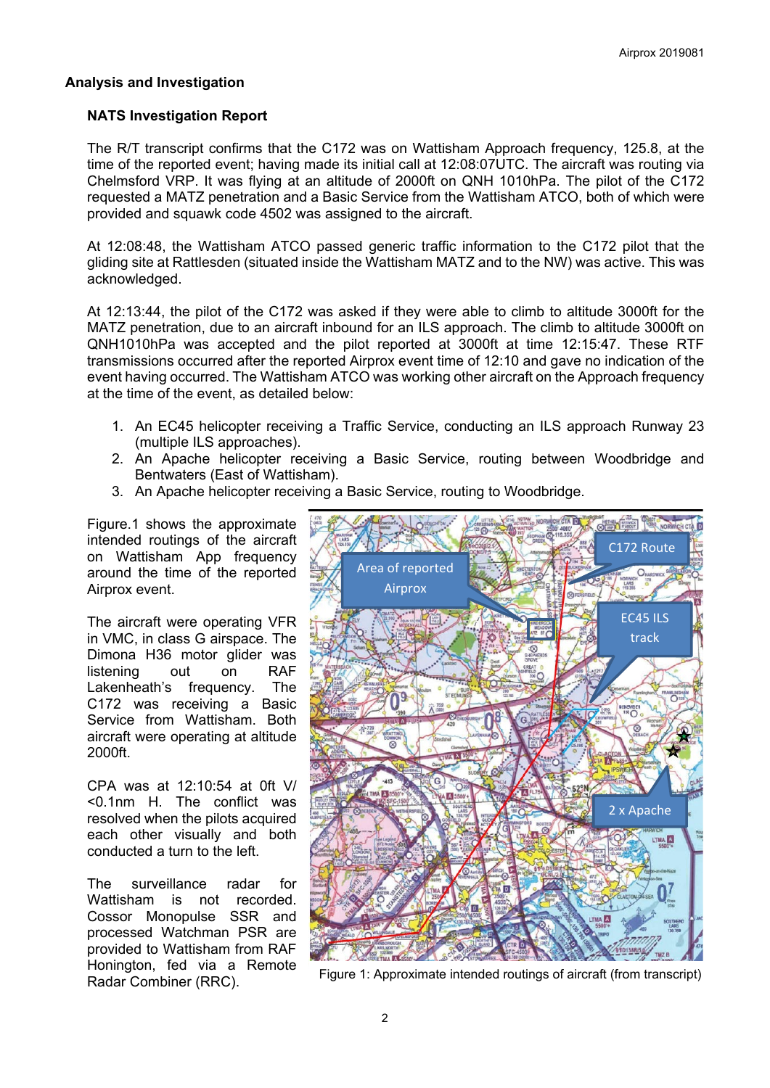# **Analysis and Investigation**

### **NATS Investigation Report**

The R/T transcript confirms that the C172 was on Wattisham Approach frequency, 125.8, at the time of the reported event; having made its initial call at 12:08:07UTC. The aircraft was routing via Chelmsford VRP. It was flying at an altitude of 2000ft on QNH 1010hPa. The pilot of the C172 requested a MATZ penetration and a Basic Service from the Wattisham ATCO, both of which were provided and squawk code 4502 was assigned to the aircraft.

At 12:08:48, the Wattisham ATCO passed generic traffic information to the C172 pilot that the gliding site at Rattlesden (situated inside the Wattisham MATZ and to the NW) was active. This was acknowledged.

At 12:13:44, the pilot of the C172 was asked if they were able to climb to altitude 3000ft for the MATZ penetration, due to an aircraft inbound for an ILS approach. The climb to altitude 3000ft on QNH1010hPa was accepted and the pilot reported at 3000ft at time 12:15:47. These RTF transmissions occurred after the reported Airprox event time of 12:10 and gave no indication of the event having occurred. The Wattisham ATCO was working other aircraft on the Approach frequency at the time of the event, as detailed below:

- 1. An EC45 helicopter receiving a Traffic Service, conducting an ILS approach Runway 23 (multiple ILS approaches).
- 2. An Apache helicopter receiving a Basic Service, routing between Woodbridge and Bentwaters (East of Wattisham).
- 3. An Apache helicopter receiving a Basic Service, routing to Woodbridge.

Figure.1 shows the approximate intended routings of the aircraft on Wattisham App frequency around the time of the reported Airprox event.

The aircraft were operating VFR in VMC, in class G airspace. The Dimona H36 motor glider was listening out on RAF Lakenheath's frequency. The C172 was receiving a Basic Service from Wattisham. Both aircraft were operating at altitude 2000ft.

CPA was at 12:10:54 at 0ft V/ <0.1nm H. The conflict was resolved when the pilots acquired each other visually and both conducted a turn to the left.

The surveillance radar for Wattisham is not recorded Cossor Monopulse SSR and processed Watchman PSR are provided to Wattisham from RAF Honington, fed via a Remote Radar Combiner (RRC).



Figure 1: Approximate intended routings of aircraft (from transcript)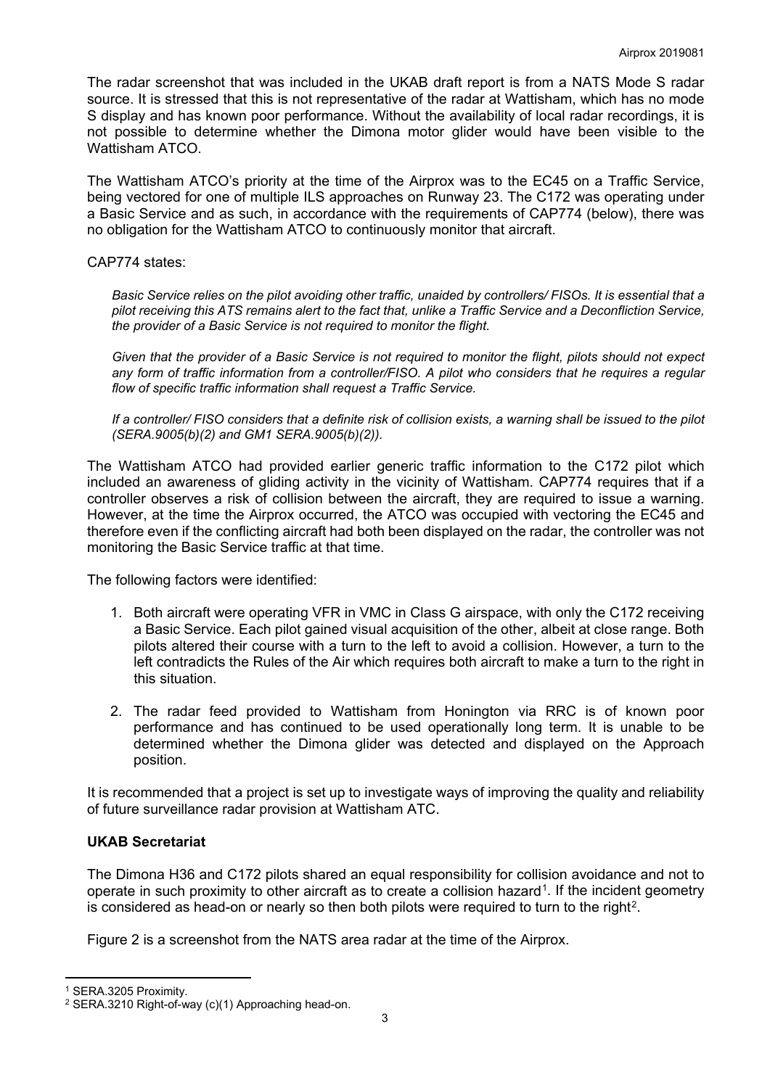The radar screenshot that was included in the UKAB draft report is from a NATS Mode S radar source. It is stressed that this is not representative of the radar at Wattisham, which has no mode S display and has known poor performance. Without the availability of local radar recordings, it is not possible to determine whether the Dimona motor glider would have been visible to the Wattisham ATCO.

The Wattisham ATCO's priority at the time of the Airprox was to the EC45 on a Traffic Service, being vectored for one of multiple ILS approaches on Runway 23. The C172 was operating under a Basic Service and as such, in accordance with the requirements of CAP774 (below), there was no obligation for the Wattisham ATCO to continuously monitor that aircraft.

### CAP774 states:

*Basic Service relies on the pilot avoiding other traffic, unaided by controllers/ FISOs. It is essential that a pilot receiving this ATS remains alert to the fact that, unlike a Traffic Service and a Deconfliction Service, the provider of a Basic Service is not required to monitor the flight.*

*Given that the provider of a Basic Service is not required to monitor the flight, pilots should not expect any form of traffic information from a controller/FISO. A pilot who considers that he requires a regular flow of specific traffic information shall request a Traffic Service.* 

*If a controller/ FISO considers that a definite risk of collision exists, a warning shall be issued to the pilot (SERA.9005(b)(2) and GM1 SERA.9005(b)(2)).* 

The Wattisham ATCO had provided earlier generic traffic information to the C172 pilot which included an awareness of gliding activity in the vicinity of Wattisham. CAP774 requires that if a controller observes a risk of collision between the aircraft, they are required to issue a warning. However, at the time the Airprox occurred, the ATCO was occupied with vectoring the EC45 and therefore even if the conflicting aircraft had both been displayed on the radar, the controller was not monitoring the Basic Service traffic at that time.

The following factors were identified:

- 1. Both aircraft were operating VFR in VMC in Class G airspace, with only the C172 receiving a Basic Service. Each pilot gained visual acquisition of the other, albeit at close range. Both pilots altered their course with a turn to the left to avoid a collision. However, a turn to the left contradicts the Rules of the Air which requires both aircraft to make a turn to the right in this situation.
- 2. The radar feed provided to Wattisham from Honington via RRC is of known poor performance and has continued to be used operationally long term. It is unable to be determined whether the Dimona glider was detected and displayed on the Approach position.

It is recommended that a project is set up to investigate ways of improving the quality and reliability of future surveillance radar provision at Wattisham ATC.

# **UKAB Secretariat**

The Dimona H36 and C172 pilots shared an equal responsibility for collision avoidance and not to operate in such proximity to other aircraft as to create a collision hazard<sup>[1](#page-2-0)</sup>. If the incident geometry is considered as head-on or nearly so then both pilots were required to turn to the right<sup>[2](#page-2-1)</sup>.

Figure 2 is a screenshot from the NATS area radar at the time of the Airprox.

 $\overline{a}$ 

<span id="page-2-0"></span><sup>1</sup> SERA.3205 Proximity.

<span id="page-2-1"></span><sup>2</sup> SERA.3210 Right-of-way (c)(1) Approaching head-on.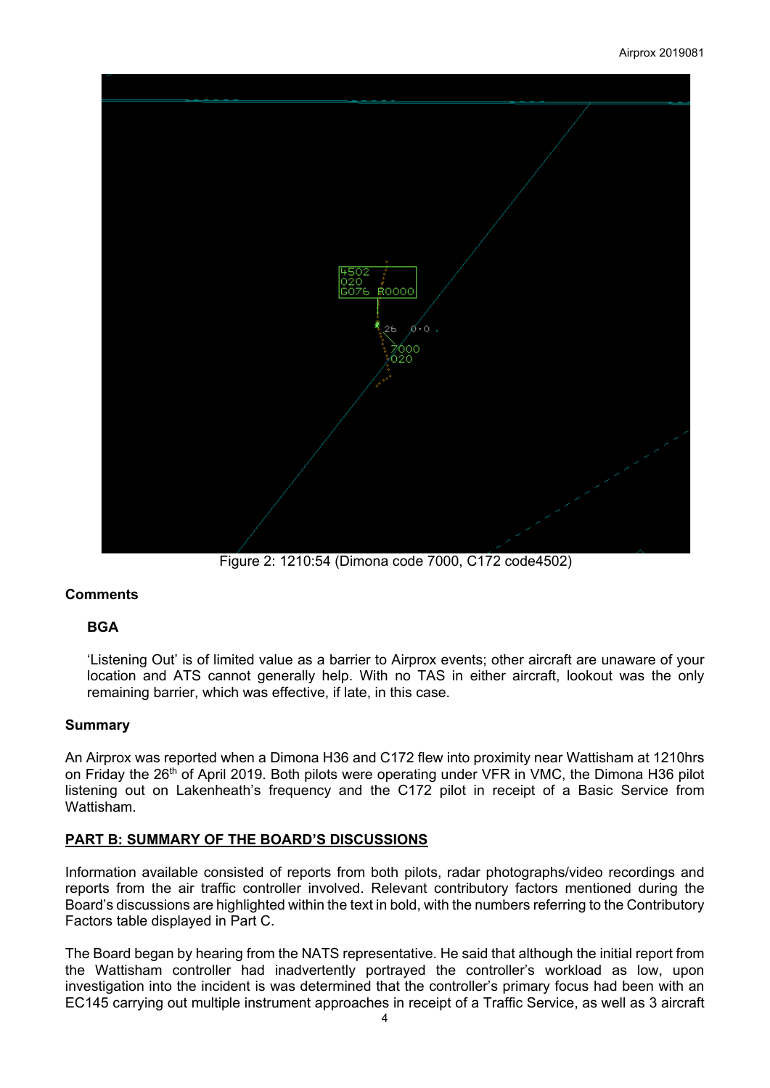

Figure 2: 1210:54 (Dimona code 7000, C172 code4502)

# **Comments**

# **BGA**

'Listening Out' is of limited value as a barrier to Airprox events; other aircraft are unaware of your location and ATS cannot generally help. With no TAS in either aircraft, lookout was the only remaining barrier, which was effective, if late, in this case.

# **Summary**

An Airprox was reported when a Dimona H36 and C172 flew into proximity near Wattisham at 1210hrs on Friday the 26<sup>th</sup> of April 2019. Both pilots were operating under VFR in VMC, the Dimona H36 pilot listening out on Lakenheath's frequency and the C172 pilot in receipt of a Basic Service from Wattisham.

# **PART B: SUMMARY OF THE BOARD'S DISCUSSIONS**

Information available consisted of reports from both pilots, radar photographs/video recordings and reports from the air traffic controller involved. Relevant contributory factors mentioned during the Board's discussions are highlighted within the text in bold, with the numbers referring to the Contributory Factors table displayed in Part C.

The Board began by hearing from the NATS representative. He said that although the initial report from the Wattisham controller had inadvertently portrayed the controller's workload as low, upon investigation into the incident is was determined that the controller's primary focus had been with an EC145 carrying out multiple instrument approaches in receipt of a Traffic Service, as well as 3 aircraft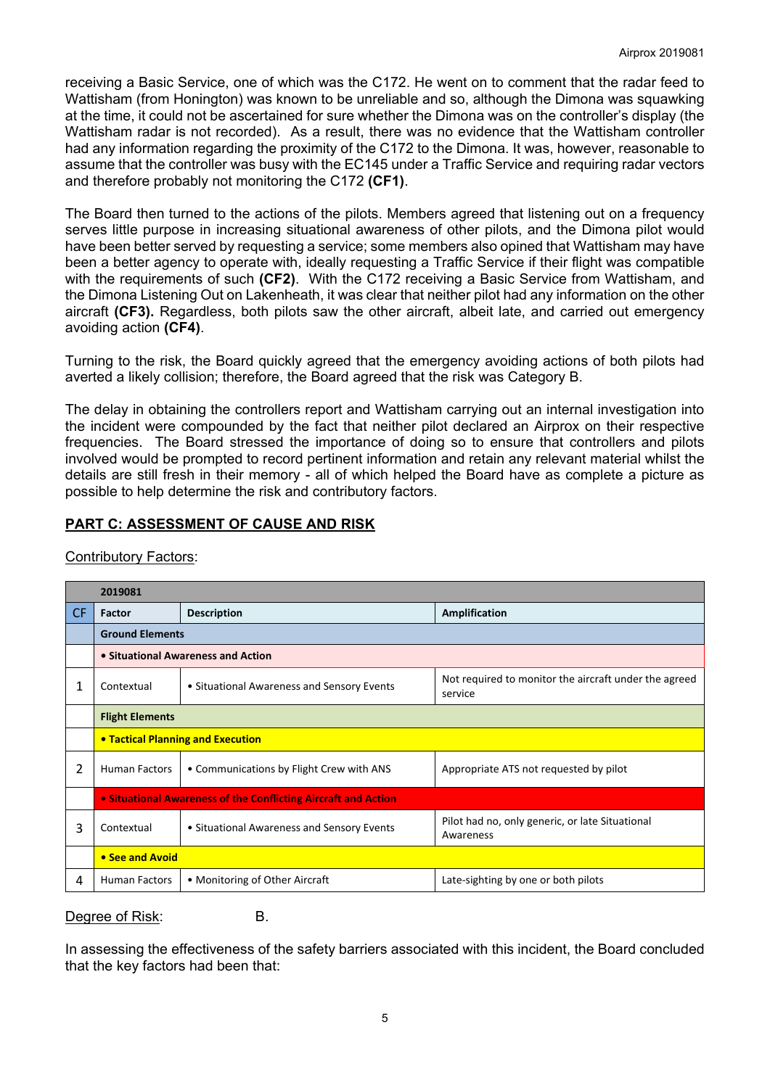receiving a Basic Service, one of which was the C172. He went on to comment that the radar feed to Wattisham (from Honington) was known to be unreliable and so, although the Dimona was squawking at the time, it could not be ascertained for sure whether the Dimona was on the controller's display (the Wattisham radar is not recorded). As a result, there was no evidence that the Wattisham controller had any information regarding the proximity of the C172 to the Dimona. It was, however, reasonable to assume that the controller was busy with the EC145 under a Traffic Service and requiring radar vectors and therefore probably not monitoring the C172 **(CF1)**.

The Board then turned to the actions of the pilots. Members agreed that listening out on a frequency serves little purpose in increasing situational awareness of other pilots, and the Dimona pilot would have been better served by requesting a service; some members also opined that Wattisham may have been a better agency to operate with, ideally requesting a Traffic Service if their flight was compatible with the requirements of such **(CF2)**. With the C172 receiving a Basic Service from Wattisham, and the Dimona Listening Out on Lakenheath, it was clear that neither pilot had any information on the other aircraft **(CF3).** Regardless, both pilots saw the other aircraft, albeit late, and carried out emergency avoiding action **(CF4)**.

Turning to the risk, the Board quickly agreed that the emergency avoiding actions of both pilots had averted a likely collision; therefore, the Board agreed that the risk was Category B.

The delay in obtaining the controllers report and Wattisham carrying out an internal investigation into the incident were compounded by the fact that neither pilot declared an Airprox on their respective frequencies. The Board stressed the importance of doing so to ensure that controllers and pilots involved would be prompted to record pertinent information and retain any relevant material whilst the details are still fresh in their memory - all of which helped the Board have as complete a picture as possible to help determine the risk and contributory factors.

# **PART C: ASSESSMENT OF CAUSE AND RISK**

#### Contributory Factors:

|     | 2019081                                                        |                                            |                                                                  |  |  |  |  |  |  |  |
|-----|----------------------------------------------------------------|--------------------------------------------|------------------------------------------------------------------|--|--|--|--|--|--|--|
| CF. | <b>Factor</b>                                                  | <b>Description</b>                         | Amplification                                                    |  |  |  |  |  |  |  |
|     | <b>Ground Elements</b>                                         |                                            |                                                                  |  |  |  |  |  |  |  |
|     | • Situational Awareness and Action                             |                                            |                                                                  |  |  |  |  |  |  |  |
| 1   | Contextual                                                     | • Situational Awareness and Sensory Events | Not required to monitor the aircraft under the agreed<br>service |  |  |  |  |  |  |  |
|     | <b>Flight Elements</b>                                         |                                            |                                                                  |  |  |  |  |  |  |  |
|     | <b>. Tactical Planning and Execution</b>                       |                                            |                                                                  |  |  |  |  |  |  |  |
| 2   | <b>Human Factors</b>                                           | • Communications by Flight Crew with ANS   | Appropriate ATS not requested by pilot                           |  |  |  |  |  |  |  |
|     | • Situational Awareness of the Conflicting Aircraft and Action |                                            |                                                                  |  |  |  |  |  |  |  |
| 3   | Contextual                                                     | • Situational Awareness and Sensory Events | Pilot had no, only generic, or late Situational<br>Awareness     |  |  |  |  |  |  |  |
|     | • See and Avoid                                                |                                            |                                                                  |  |  |  |  |  |  |  |
| 4   | <b>Human Factors</b>                                           | • Monitoring of Other Aircraft             | Late-sighting by one or both pilots                              |  |  |  |  |  |  |  |

Degree of Risk: B.

In assessing the effectiveness of the safety barriers associated with this incident, the Board concluded that the key factors had been that: